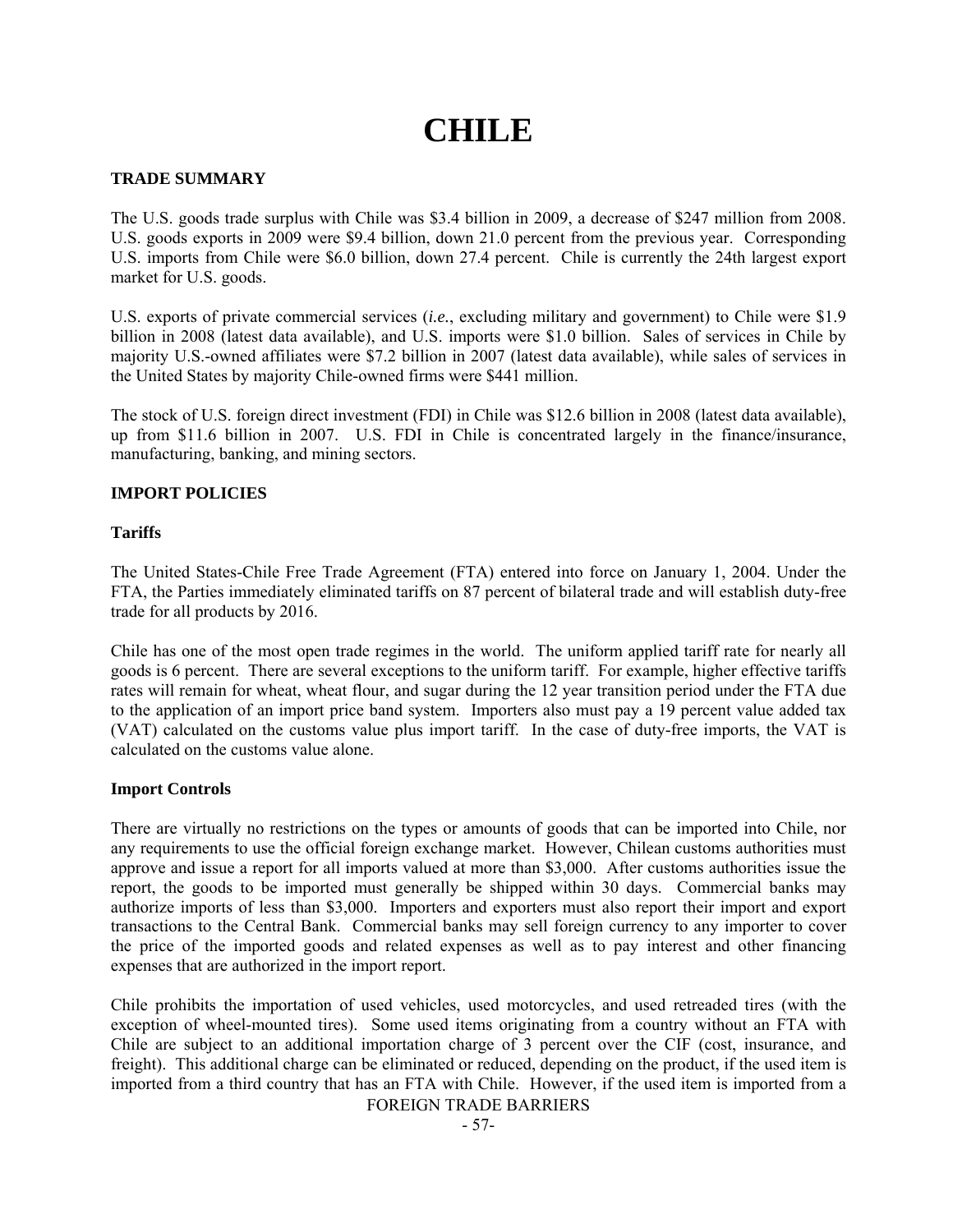# **CHILE**

## **TRADE SUMMARY**

The U.S. goods trade surplus with Chile was \$3.4 billion in 2009, a decrease of \$247 million from 2008. U.S. goods exports in 2009 were \$9.4 billion, down 21.0 percent from the previous year. Corresponding U.S. imports from Chile were \$6.0 billion, down 27.4 percent. Chile is currently the 24th largest export market for U.S. goods.

U.S. exports of private commercial services (*i.e.*, excluding military and government) to Chile were \$1.9 billion in 2008 (latest data available), and U.S. imports were \$1.0 billion. Sales of services in Chile by majority U.S.-owned affiliates were \$7.2 billion in 2007 (latest data available), while sales of services in the United States by majority Chile-owned firms were \$441 million.

The stock of U.S. foreign direct investment (FDI) in Chile was \$12.6 billion in 2008 (latest data available), up from \$11.6 billion in 2007. U.S. FDI in Chile is concentrated largely in the finance/insurance, manufacturing, banking, and mining sectors.

## **IMPORT POLICIES**

## **Tariffs**

The United States-Chile Free Trade Agreement (FTA) entered into force on January 1, 2004. Under the FTA, the Parties immediately eliminated tariffs on 87 percent of bilateral trade and will establish duty-free trade for all products by 2016.

Chile has one of the most open trade regimes in the world. The uniform applied tariff rate for nearly all goods is 6 percent. There are several exceptions to the uniform tariff. For example, higher effective tariffs rates will remain for wheat, wheat flour, and sugar during the 12 year transition period under the FTA due to the application of an import price band system. Importers also must pay a 19 percent value added tax (VAT) calculated on the customs value plus import tariff. In the case of duty-free imports, the VAT is calculated on the customs value alone.

## **Import Controls**

There are virtually no restrictions on the types or amounts of goods that can be imported into Chile, nor any requirements to use the official foreign exchange market. However, Chilean customs authorities must approve and issue a report for all imports valued at more than \$3,000. After customs authorities issue the report, the goods to be imported must generally be shipped within 30 days. Commercial banks may authorize imports of less than \$3,000. Importers and exporters must also report their import and export transactions to the Central Bank. Commercial banks may sell foreign currency to any importer to cover the price of the imported goods and related expenses as well as to pay interest and other financing expenses that are authorized in the import report.

Chile prohibits the importation of used vehicles, used motorcycles, and used retreaded tires (with the exception of wheel-mounted tires). Some used items originating from a country without an FTA with Chile are subject to an additional importation charge of 3 percent over the CIF (cost, insurance, and freight). This additional charge can be eliminated or reduced, depending on the product, if the used item is imported from a third country that has an FTA with Chile. However, if the used item is imported from a

FOREIGN TRADE BARRIERS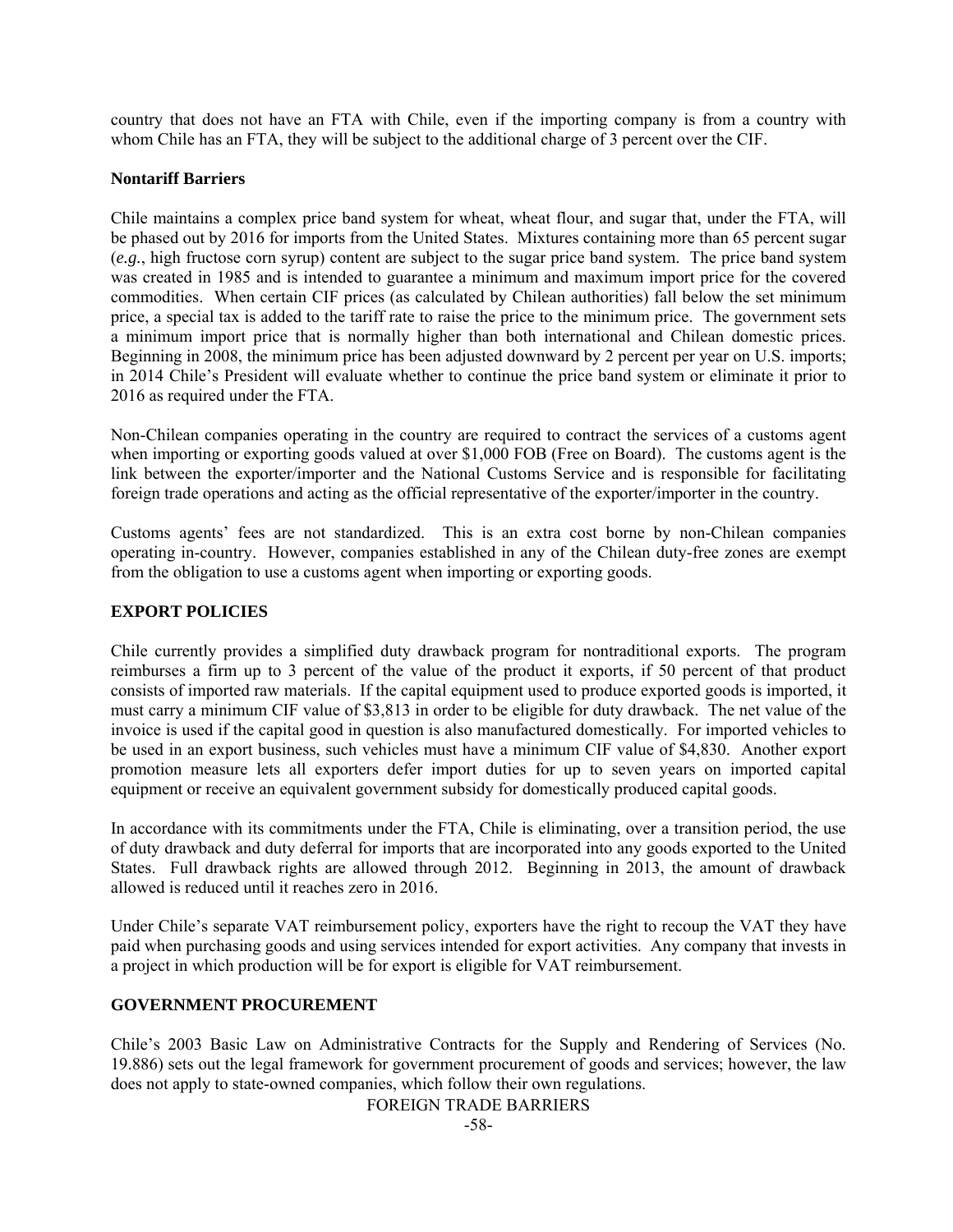country that does not have an FTA with Chile, even if the importing company is from a country with whom Chile has an FTA, they will be subject to the additional charge of 3 percent over the CIF.

## **Nontariff Barriers**

Chile maintains a complex price band system for wheat, wheat flour, and sugar that, under the FTA, will be phased out by 2016 for imports from the United States. Mixtures containing more than 65 percent sugar (*e.g.*, high fructose corn syrup) content are subject to the sugar price band system. The price band system was created in 1985 and is intended to guarantee a minimum and maximum import price for the covered commodities. When certain CIF prices (as calculated by Chilean authorities) fall below the set minimum price, a special tax is added to the tariff rate to raise the price to the minimum price. The government sets a minimum import price that is normally higher than both international and Chilean domestic prices. Beginning in 2008, the minimum price has been adjusted downward by 2 percent per year on U.S. imports; in 2014 Chile's President will evaluate whether to continue the price band system or eliminate it prior to 2016 as required under the FTA.

Non-Chilean companies operating in the country are required to contract the services of a customs agent when importing or exporting goods valued at over \$1,000 FOB (Free on Board). The customs agent is the link between the exporter/importer and the National Customs Service and is responsible for facilitating foreign trade operations and acting as the official representative of the exporter/importer in the country.

Customs agents' fees are not standardized. This is an extra cost borne by non-Chilean companies operating in-country. However, companies established in any of the Chilean duty-free zones are exempt from the obligation to use a customs agent when importing or exporting goods.

## **EXPORT POLICIES**

Chile currently provides a simplified duty drawback program for nontraditional exports. The program reimburses a firm up to 3 percent of the value of the product it exports, if 50 percent of that product consists of imported raw materials. If the capital equipment used to produce exported goods is imported, it must carry a minimum CIF value of \$3,813 in order to be eligible for duty drawback. The net value of the invoice is used if the capital good in question is also manufactured domestically. For imported vehicles to be used in an export business, such vehicles must have a minimum CIF value of \$4,830. Another export promotion measure lets all exporters defer import duties for up to seven years on imported capital equipment or receive an equivalent government subsidy for domestically produced capital goods.

In accordance with its commitments under the FTA, Chile is eliminating, over a transition period, the use of duty drawback and duty deferral for imports that are incorporated into any goods exported to the United States. Full drawback rights are allowed through 2012. Beginning in 2013, the amount of drawback allowed is reduced until it reaches zero in 2016.

Under Chile's separate VAT reimbursement policy, exporters have the right to recoup the VAT they have paid when purchasing goods and using services intended for export activities. Any company that invests in a project in which production will be for export is eligible for VAT reimbursement.

## **GOVERNMENT PROCUREMENT**

Chile's 2003 Basic Law on Administrative Contracts for the Supply and Rendering of Services (No. 19.886) sets out the legal framework for government procurement of goods and services; however, the law does not apply to state-owned companies, which follow their own regulations.

FOREIGN TRADE BARRIERS